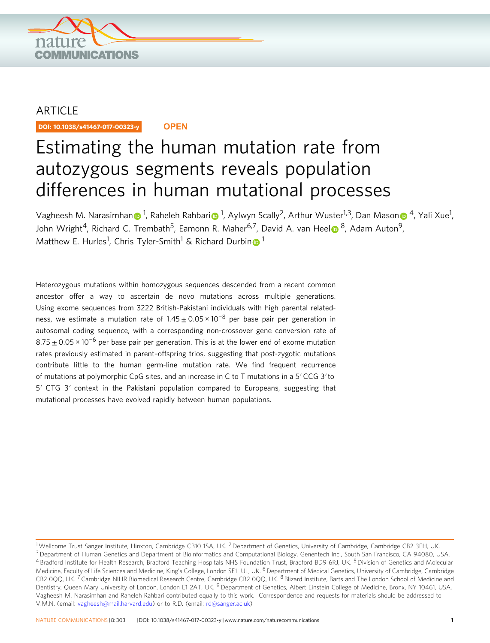

## ARTICLE

DOI: 10.1038/s41467-017-00323-y **OPEN**

# Estimating the human mutation rate from autozygous segments reveals population differences in human mutational processes

Vagheesh M. Narasimha[n](http://orcid.org/0000-0002-0026-9216) 1, Raheleh Rahbar[i](http://orcid.org/0000-0002-1839-7785) 1, Aylwyn Scally<sup>2</sup>, Arthur Wuster<sup>1,3</sup>, Dan Mason 1, Yali Xue<sup>1</sup>, John Wright<sup>4</sup>, Richard C. Trembath<sup>5</sup>, Eamonn R. Maher<sup>6,7</sup>, David A. van Hee[l](http://orcid.org/0000-0002-0637-2265) <sup>8</sup>, Adam Auton<sup>9</sup>, Matthew E. Hurles<sup>1</sup>, Chris Tyler-Smith<sup>1</sup> & Richard Durbi[n](http://orcid.org/0000-0002-9130-1006) <sup>1</sup>

Heterozygous mutations within homozygous sequences descended from a recent common ancestor offer a way to ascertain de novo mutations across multiple generations. Using exome sequences from 3222 British-Pakistani individuals with high parental relatedness, we estimate a mutation rate of  $1.45 \pm 0.05 \times 10^{-8}$  per base pair per generation in autosomal coding sequence, with a corresponding non-crossover gene conversion rate of  $8.75 \pm 0.05 \times 10^{-6}$  per base pair per generation. This is at the lower end of exome mutation rates previously estimated in parent–offspring trios, suggesting that post-zygotic mutations contribute little to the human germ-line mutation rate. We find frequent recurrence of mutations at polymorphic CpG sites, and an increase in C to T mutations in a 5ʹ CCG 3ʹ to 5ʹ CTG 3ʹ context in the Pakistani population compared to Europeans, suggesting that mutational processes have evolved rapidly between human populations.

 $1$ Wellcome Trust Sanger Institute, Hinxton, Cambridge CB10 1SA, UK.  $2$  Department of Genetics, University of Cambridge, Cambridge CB2 3EH, UK. <sup>3</sup> Department of Human Genetics and Department of Bioinformatics and Computational Biology, Genentech Inc., South San Francisco, CA 94080, USA. 4 Bradford Institute for Health Research, Bradford Teaching Hospitals NHS Foundation Trust, Bradford BD9 6RJ, UK. <sup>5</sup> Division of Genetics and Molecular Medicine, Faculty of Life Sciences and Medicine, King's College, London SE1 1UL, UK. <sup>6</sup> Department of Medical Genetics, University of Cambridge, Cambridge CB2 0QQ, UK.<sup>7</sup> Cambridge NIHR Biomedical Research Centre, Cambridge CB2 0QQ, UK.<sup>8</sup> Blizard Institute, Barts and The London School of Medicine and Dentistry, Queen Mary University of London, London E1 2AT, UK. <sup>9</sup> Department of Genetics, Albert Einstein College of Medicine, Bronx, NY 10461, USA. Vagheesh M. Narasimhan and Raheleh Rahbari contributed equally to this work. Correspondence and requests for materials should be addressed to V.M.N. (email: [vagheesh@mail.harvard.edu](mailto:vagheesh@mail.harvard.edu)) or to R.D. (email: [rd@sanger.ac.uk\)](mailto:rd@sanger.ac.uk)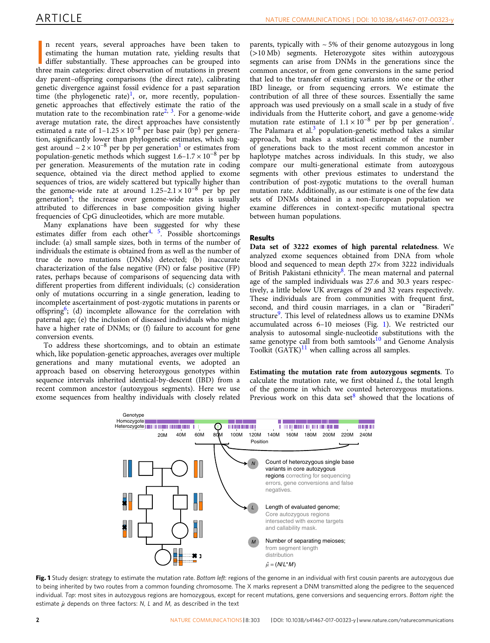In recent years, several approaches have been taken to estimating the human mutation rate, yielding results that differ substantially. These approaches can be grouped into three main categories: direct observation of mutat n recent years, several approaches have been taken to estimating the human mutation rate, yielding results that differ substantially. These approaches can be grouped into day parent–offspring comparisons (the direct rate), calibrating genetic divergence against fossil evidence for a past separation time (the phylogenetic rate)<sup>[1](#page-5-0)</sup>, or, more recently, populationgenetic approaches that effectively estimate the ratio of the mutation rate to the recombination rate<sup>2, [3](#page-5-0)</sup>. For a genome-wide average mutation rate, the direct approaches have consistently estimated a rate of  $1-1.25 \times 10^{-8}$  per base pair (bp) per generation, significantly lower than phylogenetic estimates, which suggest around  $\sim 2 \times 10^{-8}$  $\sim 2 \times 10^{-8}$  $\sim 2 \times 10^{-8}$  per bp per generation<sup>1</sup> or estimates from population-genetic methods which suggest  $1.6-1.7 \times 10^{-8}$  per bp per generation. Measurements of the mutation rate in coding sequence, obtained via the direct method applied to exome sequences of trios, are widely scattered but typically higher than the genome-wide rate at around  $1.25-2.1 \times 10^{-8}$  per bp per generation<sup>[4](#page-5-0)</sup>; the increase over genome-wide rates is usually attributed to differences in base composition giving higher frequencies of CpG dinucleotides, which are more mutable.

Many explanations have been suggested for why these estimates differ from each other<sup>[4,](#page-5-0) 5</sup>. Possible shortcomings include: (a) small sample sizes, both in terms of the number of individuals the estimate is obtained from as well as the number of true de novo mutations (DNMs) detected; (b) inaccurate characterization of the false negative (FN) or false positive (FP) rates, perhaps because of comparisons of sequencing data with different properties from different individuals; (c) consideration only of mutations occurring in a single generation, leading to incomplete ascertainment of post-zygotic mutations in parents or offspring[6](#page-5-0); (d) incomplete allowance for the correlation with paternal age; (e) the inclusion of diseased individuals who might have a higher rate of DNMs; or (f) failure to account for gene conversion events.

To address these shortcomings, and to obtain an estimate which, like population-genetic approaches, averages over multiple generations and many mutational events, we adopted an approach based on observing heterozygous genotypes within sequence intervals inherited identical-by-descent (IBD) from a recent common ancestor (autozygous segments). Here we use exome sequences from healthy individuals with closely related parents, typically with  $\sim$  5% of their genome autozygous in long (>10 Mb) segments. Heterozygote sites within autozygous segments can arise from DNMs in the generations since the common ancestor, or from gene conversions in the same period that led to the transfer of existing variants into one or the other IBD lineage, or from sequencing errors. We estimate the contribution of all three of these sources. Essentially the same approach was used previously on a small scale in a study of five individuals from the Hutterite cohort, and gave a genome-wide mutation rate estimate of  $1.1 \times 10^{-8}$  per bp per generation<sup>7</sup>. The Palamara et al. $3$  population-genetic method takes a similar approach, but makes a statistical estimate of the number of generations back to the most recent common ancestor in haplotype matches across individuals. In this study, we also compare our multi-generational estimate from autozygous segments with other previous estimates to understand the contribution of post-zygotic mutations to the overall human mutation rate. Additionally, as our estimate is one of the few data sets of DNMs obtained in a non-European population we examine differences in context-specific mutational spectra between human populations.

### **Results**

Data set of 3222 exomes of high parental relatedness. We analyzed exome sequences obtained from DNA from whole blood and sequenced to mean depth 27× from 3222 individuals of British Pakistani ethnicity<sup>8</sup>. The mean maternal and paternal age of the sampled individuals was 27.6 and 30.3 years respectively, a little below UK averages of 29 and 32 years respectively. These individuals are from communities with frequent first, second, and third cousin marriages, in a clan or "Biraderi" structure<sup>[9](#page-5-0)</sup>. This level of relatedness allows us to examine DNMs accumulated across 6–10 meioses (Fig. 1). We restricted our analysis to autosomal single-nucleotide substitutions with the same genotype call from both samtools $10$  and Genome Analysis Toolkit  $(GATK)^{11}$  when calling across all samples.

Estimating the mutation rate from autozygous segments. To calculate the mutation rate, we first obtained L, the total length of the genome in which we counted heterozygous mutations. Previous work on this data set $8$  showed that the locations of



Fig. 1 Study design: strategy to estimate the mutation rate. Bottom left: regions of the genome in an individual with first cousin parents are autozygous due to being inherited by two routes from a common founding chromosome. The X marks represent a DNM transmitted along the pedigree to the sequenced individual. Top: most sites in autozygous regions are homozygous, except for recent mutations, gene conversions and sequencing errors. Bottom right: the estimate  $\hat{\mu}$  depends on three factors: N, L and M, as described in the text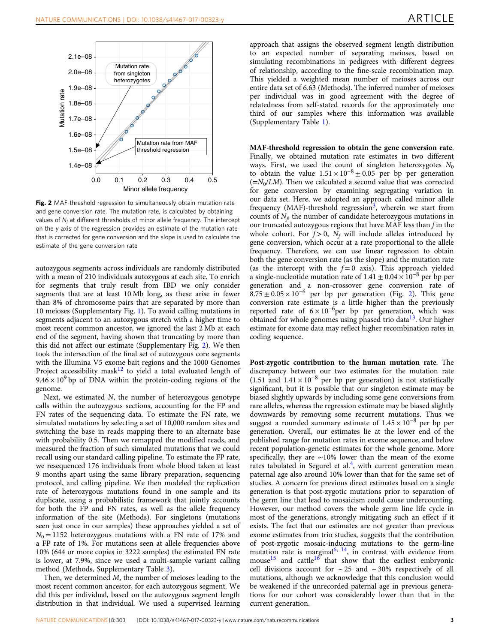

Fig. 2 MAF-threshold regression to simultaneously obtain mutation rate and gene conversion rate. The mutation rate, is calculated by obtaining values of  $N_f$  at different thresholds of minor allele frequency. The intercept on the y axis of the regression provides an estimate of the mutation rate that is corrected for gene conversion and the slope is used to calculate the estimate of the gene conversion rate

autozygous segments across individuals are randomly distributed with a mean of 210 individuals autozygous at each site. To enrich for segments that truly result from IBD we only consider segments that are at least 10 Mb long, as these arise in fewer than 8% of chromosome pairs that are separated by more than 10 meioses (Supplementary Fig. 1). To avoid calling mutations in segments adjacent to an autozygous stretch with a higher time to most recent common ancestor, we ignored the last 2 Mb at each end of the segment, having shown that truncating by more than this did not affect our estimate (Supplementary Fig. 2). We then took the intersection of the final set of autozygous core segments with the Illumina V5 exome bait regions and the 1000 Genomes Project accessibility mask<sup>[12](#page-5-0)</sup> to yield a total evaluated length of  $9.46 \times 10^9$  bp of DNA within the protein-coding regions of the genome.

Next, we estimated N, the number of heterozygous genotype calls within the autozygous sections, accounting for the FP and FN rates of the sequencing data. To estimate the FN rate, we simulated mutations by selecting a set of 10,000 random sites and switching the base in reads mapping there to an alternate base with probability 0.5. Then we remapped the modified reads, and measured the fraction of such simulated mutations that we could recall using our standard calling pipeline. To estimate the FP rate, we resequenced 176 individuals from whole blood taken at least 9 months apart using the same library preparation, sequencing protocol, and calling pipeline. We then modeled the replication rate of heterozygous mutations found in one sample and its duplicate, using a probabilistic framework that jointly accounts for both the FP and FN rates, as well as the allele frequency information of the site (Methods). For singletons (mutations seen just once in our samples) these approaches yielded a set of  $N_0 = 1152$  heterozygous mutations with a FN rate of 17% and a FP rate of 1%. For mutations seen at allele frequencies above 10% (644 or more copies in 3222 samples) the estimated FN rate is lower, at 7.9%, since we used a multi-sample variant calling method (Methods, Supplementary Table 3).

Then, we determined M, the number of meioses leading to the most recent common ancestor, for each autozygous segment. We did this per individual, based on the autozygous segment length distribution in that individual. We used a supervised learning approach that assigns the observed segment length distribution to an expected number of separating meioses, based on simulating recombinations in pedigrees with different degrees of relationship, according to the fine-scale recombination map. This yielded a weighted mean number of meioses across our entire data set of 6.63 (Methods). The inferred number of meioses per individual was in good agreement with the degree of relatedness from self-stated records for the approximately one third of our samples where this information was available (Supplementary Table 1).

MAF-threshold regression to obtain the gene conversion rate. Finally, we obtained mutation rate estimates in two different ways. First, we used the count of singleton heterozygotes  $N_0$ to obtain the value  $1.51 \times 10^{-8} \pm 0.05$  per bp per generation  $(=N<sub>0</sub>/LM)$ . Then we calculated a second value that was corrected for gene conversion by examining segregating variation in our data set. Here, we adopted an approach called minor allele frequency (MAF)-threshold regression<sup>3</sup>, wherein we start from counts of  $N_f$ , the number of candidate heterozygous mutations in our truncated autozygous regions that have MAF less than  $f$  in the whole cohort. For  $f > 0$ ,  $N_f$  will include alleles introduced by gene conversion, which occur at a rate proportional to the allele frequency. Therefore, we can use linear regression to obtain both the gene conversion rate (as the slope) and the mutation rate (as the intercept with the  $f = 0$  axis). This approach yielded a single-nucleotide mutation rate of  $1.41 \pm 0.04 \times 10^{-8}$  per bp per generation and a non-crossover gene conversion rate of  $8.75 \pm 0.05 \times 10^{-6}$  per bp per generation (Fig. 2). This gene conversion rate estimate is a little higher than the previously reported rate of  $6 \times 10^{-6}$ per bp per generation, which was obtained for whole genomes using phased trio data $13$ . Our higher estimate for exome data may reflect higher recombination rates in coding sequence.

Post-zygotic contribution to the human mutation rate. The discrepancy between our two estimates for the mutation rate (1.51 and  $1.41 \times 10^{-8}$  per bp per generation) is not statistically significant, but it is possible that our singleton estimate may be biased slightly upwards by including some gene conversions from rare alleles, whereas the regression estimate may be biased slightly downwards by removing some recurrent mutations. Thus we suggest a rounded summary estimate of  $1.45 \times 10^{-8}$  per bp per generation. Overall, our estimates lie at the lower end of the published range for mutation rates in exome sequence, and below recent population-genetic estimates for the whole genome. More specifically, they are ∼10% lower than the mean of the exome rates tabulated in Segurel et al.<sup>4</sup>, with current generation mean paternal age also around 10% lower than that for the same set of studies. A concern for previous direct estimates based on a single generation is that post-zygotic mutations prior to separation of the germ line that lead to mosaicism could cause undercounting. However, our method covers the whole germ line life cycle in most of the generations, strongly mitigating such an effect if it exists. The fact that our estimates are not greater than previous exome estimates from trio studies, suggests that the contribution of post-zygotic mosaic-inducing mutations to the germ-line mutation rate is marginal<sup>[6](#page-5-0), 14</sup>, in contrast with evidence from mouse<sup>[15](#page-6-0)</sup> and cattle<sup>[16](#page-6-0)</sup> that show that the earliest embryonic cell divisions account for  $\sim$  25 and  $\sim$  30% respectively of all mutations, although we acknowledge that this conclusion would be weakened if the unrecorded paternal age in previous generations for our cohort was considerably lower than that in the current generation.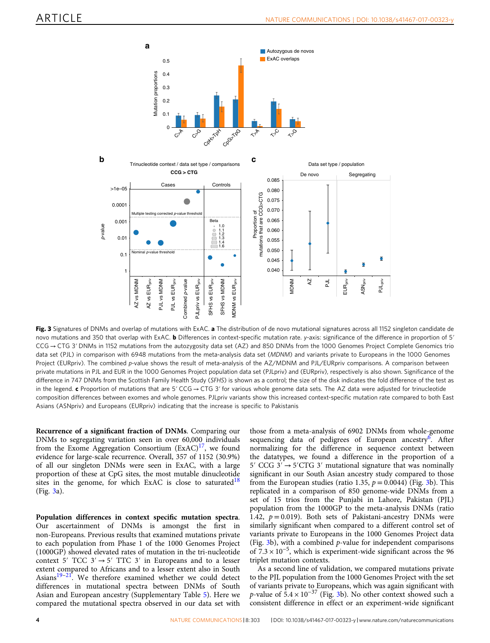<span id="page-3-0"></span>

Fig. 3 Signatures of DNMs and overlap of mutations with ExAC. a The distribution of de novo mutational signatures across all 1152 singleton candidate de novo mutations and 350 that overlap with ExAC. **b** Differences in context-specific mutation rate. y-axis: significance of the difference in proportion of 5' CCG → CTG 3' DNMs in 1152 mutations from the autozygosity data set (AZ) and 850 DNMs from the 1000 Genomes Project Complete Genomics trio data set (PJL) in comparison with 6948 mutations from the meta-analysis data set (MDNM) and variants private to Europeans in the 1000 Genomes Project (EURpriv). The combined p-value shows the result of meta-analysis of the AZ/MDNM and PJL/EURpriv comparisons. A comparison between private mutations in PJL and EUR in the 1000 Genomes Project population data set (PJLpriv) and (EURpriv), respectively is also shown. Significance of the difference in 747 DNMs from the Scottish Family Health Study (SFHS) is shown as a control; the size of the disk indicates the fold difference of the test as in the legend. c Proportion of mutations that are 5ʹ CCG → CTG 3ʹ for various whole genome data sets. The AZ data were adjusted for trinucleotide composition differences between exomes and whole genomes. PJLpriv variants show this increased context-specific mutation rate compared to both East Asians (ASNpriv) and Europeans (EURpriv) indicating that the increase is specific to Pakistanis

Recurrence of a significant fraction of DNMs. Comparing our DNMs to segregating variation seen in over 60,000 individuals from the Exome Aggregation Consortium  $(ExAC)^{17}$ , we found evidence for large-scale recurrence. Overall, 357 of 1152 (30.9%) of all our singleton DNMs were seen in ExAC, with a large proportion of these at CpG sites, the most mutable dinucleotide sites in the genome, for which ExAC is close to saturated<sup>[18](#page-6-0)</sup> (Fig. 3a).

Population differences in context specific mutation spectra. Our ascertainment of DNMs is amongst the first in non-Europeans. Previous results that examined mutations private to each population from Phase 1 of the 1000 Genomes Project (1000GP) showed elevated rates of mutation in the tri-nucleotide context 5′ TCC  $3' \rightarrow 5'$  TTC 3′ in Europeans and to a lesser extent compared to Africans and to a lesser extent also in South Asians $19-21$  $19-21$  $19-21$ . We therefore examined whether we could detect differences in mutational spectra between DNMs of South Asian and European ancestry (Supplementary Table 5). Here we compared the mutational spectra observed in our data set with

those from a meta-analysis of 6902 DNMs from whole-genome sequencing data of pedigrees of European ancestry<sup>[6](#page-5-0)</sup>. After normalizing for the difference in sequence context between the datatypes, we found a difference in the proportion of a 5' CCG  $3' \rightarrow 5'CTG$  3' mutational signature that was nominally significant in our South Asian ancestry study compared to those from the European studies (ratio 1.35,  $p = 0.0044$ ) (Fig. 3b). This replicated in a comparison of 850 genome-wide DNMs from a set of 15 trios from the Punjabi in Lahore, Pakistan (PJL) population from the 1000GP to the meta-analysis DNMs (ratio 1.42,  $p = 0.019$ ). Both sets of Pakistani-ancestry DNMs were similarly significant when compared to a different control set of variants private to Europeans in the 1000 Genomes Project data (Fig. 3b), with a combined p-value for independent comparisons of  $7.3 \times 10^{-5}$ , which is experiment-wide significant across the 96 triplet mutation contexts.

As a second line of validation, we compared mutations private to the PJL population from the 1000 Genomes Project with the set of variants private to Europeans, which was again significant with p-value of  $5.4 \times 10^{-37}$  (Fig. 3b). No other context showed such a consistent difference in effect or an experiment-wide significant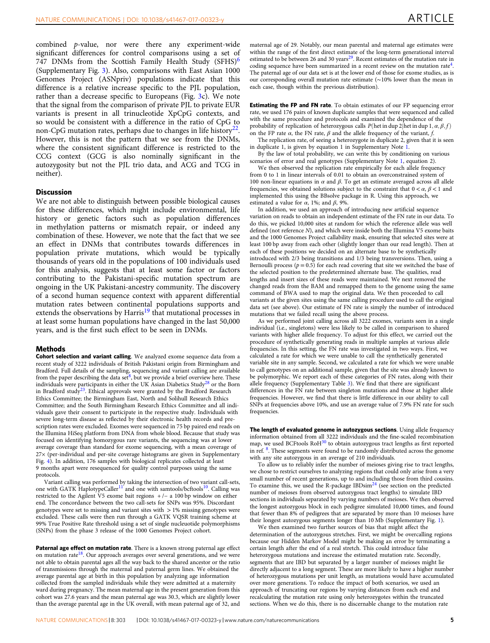combined p-value, nor were there any experiment-wide significant differences for control comparisons using a set of 747 DNMs from the Scottish Family Health Study (SFHS) $<sup>6</sup>$  $<sup>6</sup>$  $<sup>6</sup>$ </sup> (Supplementary Fig. 3). Also, comparisons with East Asian 1000 Genomes Project (ASNpriv) populations indicate that this difference is a relative increase specific to the PJL population, rather than a decrease specific to Europeans (Fig. [3](#page-3-0)c). We note that the signal from the comparison of private PJL to private EUR variants is present in all trinucleotide XpCpG contexts, and so would be consistent with a difference in the ratio of CpG to non-CpG mutation rates, perhaps due to changes in life history<sup>22</sup>. However, this is not the pattern that we see from the DNMs, where the consistent significant difference is restricted to the CCG context (GCG is also nominally significant in the autozygosity but not the PJL trio data, and ACG and TCG in neither).

### **Discussion**

We are not able to distinguish between possible biological causes for these differences, which might include environmental, life history or genetic factors such as population differences in methylation patterns or mismatch repair, or indeed any combination of these. However, we note that the fact that we see an effect in DNMs that contributes towards differences in population private mutations, which would be typically thousands of years old in the populations of 100 individuals used for this analysis, suggests that at least some factor or factors contributing to the Pakistani-specific mutation spectrum are ongoing in the UK Pakistani-ancestry community. The discovery of a second human sequence context with apparent differential mutation rates between continental populations supports and extends the observations by Harris<sup>[19](#page-6-0)</sup> that mutational processes in at least some human populations have changed in the last 50,000 years, and is the first such effect to be seen in DNMs.

### Methods

Cohort selection and variant calling. We analyzed exome sequence data from a recent study of 3222 individuals of British Pakistani origin from Birmingham and Bradford. Full details of the sampling, sequencing and variant calling are available from the paper describing the data set $\frac{8}{3}$  $\frac{8}{3}$  $\frac{8}{3}$ , but we provide a brief overview here. These individuals were participants in either the UK Asian Diabetics Stud[y28](#page-6-0) or the Born in Bradford study<sup>[23](#page-6-0)</sup>. Ethical approvals were granted by the Bradford Research Ethics Committee; the Birmingham East, North and Solihull Research Ethics Committee; and the South Birmingham Research Ethics Committee and all individuals gave their consent to participate in the respective study. Individuals with severe long-term disease as reflected by their electronic health records and prescription rates were excluded. Exomes were sequenced in 75 bp paired end reads on the Illumina HiSeq platform from DNA from whole blood. Because that study was focused on identifying homozygous rare variants, the sequencing was at lower average coverage than standard for exome sequencing, with a mean coverage of  $27\times$  (per-individual and per-site coverage histograms are given in Supplementary Fig. 4). In addition, 176 samples with biological replicates collected at least 9 months apart were resequenced for quality control purposes using the same protocols.

Variant calling was performed by taking the intersection of two variant call-sets, one with GATK HaplotypeCaller<sup>[11](#page-5-0)</sup> and one with samtools/bcftools<sup>10</sup>. Calling was restricted to the Agilent V5 exome bait regions + /− a 100 bp window on either end. The concordance between the two call-sets for SNPs was 95%. Discordant genotypes were set to missing and variant sites with  $> 1\%$  missing genotypes were excluded. These calls were then run through a GATK VQSR training scheme at 99% True Positive Rate threshold using a set of single nucleuotide polymorphisms (SNPs) from the phase 3 release of the 1000 Genomes Project cohort.

Paternal age effect on mutation rate. There is a known strong paternal age effect on mutation rate<sup>18</sup>. Our approach averages over several generations, and we were not able to obtain parental ages all the way back to the shared ancestor or the ratio of transmissions through the maternal and paternal germ lines. We obtained the average parental age at birth in this population by analyzing age information collected from the sampled individuals while they were admitted at a maternity ward during pregnancy. The mean maternal age in the present generation from this cohort was 27.6 years and the mean paternal age was 30.3, which are slightly lower than the average parental age in the UK overall, with mean paternal age of 32, and

maternal age of 29. Notably, our mean parental and maternal age estimates were within the range of the first direct estimate of the long-term generational interval estimated to be between 26 and 30 years<sup>[29](#page-6-0)</sup>. Recent estimates of the mutation rate in coding sequence have been summarized in a recent review on the mutation rate<sup>[4](#page-5-0)</sup>. The paternal age of our data set is at the lower end of those for exome studies, as is our corresponding overall mutation rate estimate (∼10% lower than the mean in each case, though within the previous distribution).

**Estimating the FP and FN rate**. To obtain estimates of our FP sequencing error rate, we used 176 pairs of known duplicate samples that were sequenced and called with the same procedure and protocols and examined the dependence of the probability of replication of heterozygous calls P(het in dup 2 het in dup 1,  $\alpha$ ,  $\beta$ , f) on the FP rate  $\alpha$ , the FN rate,  $\beta$  and the allele frequency of the variant, f.

The replication rate, of seeing a heterozygote in duplicate 2, given that it is seen in duplicate 1, is given by equation 1 in Supplementary Note 1.

By the law of total probability, we can write this by conditioning on various scenarios of error and real genotypes (Supplementary Note 1, equation 2).

We then observed the replication rate empirically for each allele frequency from 0 to 1 in linear intervals of 0.01 to obtain an overconstrained system of 100 non-linear equations in  $\alpha$  and  $\beta$ . To get an estimate averaged across all allele frequencies, we obtained solutions subject to the constraint that  $0 < \alpha$ ,  $\beta < 1$  and implemented this using the BBsolve package in R. Using this approach, we estimated a value for  $\alpha$ , 1%; and  $\beta$ , 9%.

In addition, we used an approach of introducing new artificial sequence variation on reads to obtain an independent estimate of the FN rate in our data. To do this, we picked 10,000 sites at random for which the reference allele was well defined (not reference N), and which were inside both the Illumina V5 exome baits and the 1000 Genomes Project callability mask, ensuring that selected sites were at least 100 bp away from each other (slightly longer than our read length). Then at each of these positions we decided on an alternate base to be synthetically introduced with 2/3 being transitions and 1/3 being transversions. Then, using a Bernoulli process  $(p = 0.5)$  for each read covering that site we switched the base of the selected position to the predetermined alternate base. The qualities, read lengths and insert sizes of these reads were maintained. We next removed the changed reads from the BAM and remapped them to the genome using the same command of BWA used to map the original data. We then proceeded to call variants at the given sites using the same calling procedure used to call the original data set (see above). Our estimate of FN rate is simply the number of introduced mutations that we failed recall using the above process.

As we performed joint calling across all 3222 exomes, variants seen in a single individual (i.e., singletons) were less likely to be called in comparison to shared variants with higher allele frequency. To adjust for this effect, we carried out the procedure of synthetically generating reads in multiple samples at various allele frequencies. In this setting, the FN rate was investigated in two ways. First, we calculated a rate for which we were unable to call the synthetically generated variable site in any sample. Second, we calculated a rate for which we were unable to call genotypes on an additional sample, given that the site was already known to be polymorphic. We report each of these categories of FN rates, along with their allele frequency (Supplementary Table 3). We find that there are significant differences in the FN rate between singleton mutations and those at higher allele frequencies. However, we find that there is little difference in our ability to call SNPs at frequencies above 10%, and use an average value of 7.9% FN rate for such frequencies.

The length of evaluated genome in autozygous sections. Using allele frequency information obtained from all 3222 individuals and the fine-scaled recombination map, we used BCFtools RoH<sup>[30](#page-6-0)</sup> to obtain autozygous tract lengths as first reported in ref. [8](#page-5-0). These segments were found to be randomly distributed across the genome with any site autozygous in an average of 210 individuals.

To allow us to reliably infer the number of meioses giving rise to tract lengths, we chose to restrict ourselves to analyzing regions that could only arise from a very small number of recent generations, up to and including those from third cousins. To examine this, we used the R-package IBDsim $^{24}$  (see section on the predicted number of meioses from observed autozygous tract lengths) to simulate IBD sections in individuals separated by varying numbers of meioses. We then observed the longest autozygous block in each pedigree simulated 10,000 times, and found that fewer than 8% of pedigrees that are separated by more than 10 meioses have their longest autozygous segments longer than 10 Mb (Supplementary Fig. 1).

We then examined two further sources of bias that might affect the determination of the autozygous stretches. First, we might be overcalling regions because our Hidden Markov Model might be making an error by terminating a certain length after the end of a real stretch. This could introduce false heterozygous mutations and increase the estimated mutation rate. Secondly, segments that are IBD but separated by a larger number of meioses might lie directly adjacent to a long segment. These are more likely to have a higher number of heterozygous mutations per unit length, as mutations would have accumulated over more generations. To reduce the impact of both scenarios, we used an approach of truncating our regions by varying distances from each end and recalculating the mutation rate using only heterozygotes within the truncated sections. When we do this, there is no discernable change to the mutation rate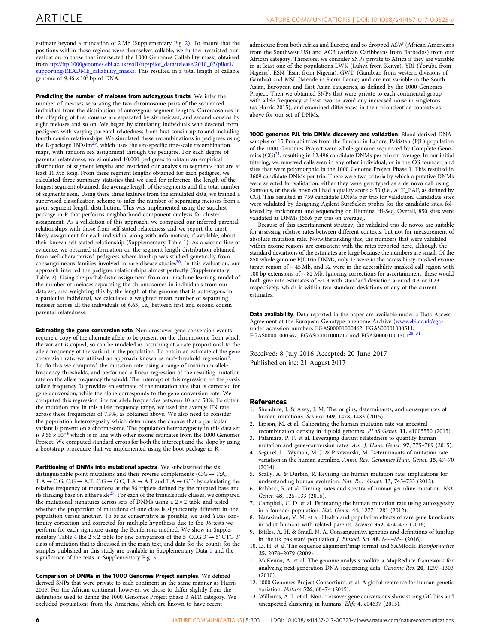<span id="page-5-0"></span>estimate beyond a truncation of 2 Mb (Supplementary Fig. 2). To ensure that the positions within these regions were themselves callable, we further restricted our evaluation to those that intersected the 1000 Genomes Callability mask, obtained from [ftp://ftp.1000genomes.ebi.ac.uk/vol1/ftp/pilot\\_data/release/2010\\_03/pilot1/](ftp://ftp.1000genomes.ebi.ac.uk/vol1/ftp/pilot_data/release/2010_03/pilot1/supporting/README_callability_masks) [supporting/README\\_callability\\_masks](ftp://ftp.1000genomes.ebi.ac.uk/vol1/ftp/pilot_data/release/2010_03/pilot1/supporting/README_callability_masks). This resulted in a total length of callable genome of  $9.46 \times 10^9$  bp of DNA.

Predicting the number of meioses from autozygous tracts. We infer the number of meioses separating the two chromosome pairs of the sequenced individual from the distribution of autozygous segment lengths. Chromosomes in the offspring of first cousins are separated by six meioses, and second cousins by eight meioses and so on. We began by simulating individuals who descend from pedigrees with varying parental relatedness from first cousin up to and including fourth cousin relationships. We simulated these recombinations in pedigrees using the R-package IBDsim $^{25}$ , which uses the sex-specific fine-scale recombination maps, with random sex assignment through the pedigree. For each degree of parental relatedness, we simulated 10,000 pedigrees to obtain an empirical distribution of segment lengths and restricted our analysis to segments that are at least 10 Mb long. From these segment lengths obtained for each pedigree, we calculated three summary statistics that we used for inference: the length of the longest segment obtained, the average length of the segments and the total number of segments seen. Using these three features from the simulated data, we trained a supervised classification scheme to infer the number of separating meioses from a given segment length distribution. This was implemented using the supclust package in R that performs neighborhood component analysis for cluster assignment. As a validation of this approach, we compared our inferred parental relationships with those from self-stated relatedness and we report the most likely assignment for each individual along with information, if available, about their known self-stated relationship (Supplementary Table 1). As a second line of evidence, we obtained information on the segment length distribution obtained from well-characterized pedigrees where kinship was studied genetically from consanguineous families involved in rare disease studies<sup>26</sup>. In this evaluation, our approach inferred the pedigree relationships almost perfectly (Supplementary Table 2). Using the probabilistic assignment from our machine learning model of the number of meioses separating the chromosomes in individuals from our data set, and weighting this by the length of the genome that is autozygous in a particular individual, we calculated a weighted mean number of separating meioses across all the individuals of 6.63, i.e., between first and second cousin parental relatedness.

**Estimating the gene conversion rate**. Non-crossover gene conversion events require a copy of the alternate allele to be present on the chromosome from which the variant is copied, so can be modeled as occurring at a rate proportional to the allele frequency of the variant in the population. To obtain an estimate of the gene conversion rate, we utilized an approach known as maf-threshold regression<sup>3</sup> To do this we computed the mutation rate using a range of maximum allele frequency thresholds, and performed a linear regression of the resulting mutation rate on the allele frequency threshold. The intercept of this regression on the y-axis (allele frequency 0) provides an estimate of the mutation rate that is corrected for gene conversion, while the slope corresponds to the gene conversion rate. We computed this regression line for allele frequencies between 10 and 50%. To obtain the mutation rate in this allele frequency range, we used the average FN rate across these frequencies of 7.9%, as obtained above. We also need to consider the population heterozygosity which determines the chance that a particular variant is present on a chromosome. The population heterozygosity in this data set is  $9.56 \times 10^{-4}$  which is in line with other exome estimates from the 1000 Genomes Project. We computed standard errors for both the intercept and the slope by using a bootstrap procedure that we implemented using the boot package in R.

Partitioning of DNMs into mutational spectra. We subclassified the six distinguishable point mutations and their reverse complements ( $C:G \rightarrow T:A$ , T:A  $\rightarrow$  C:G, C:G  $\rightarrow$  A:T, C:G  $\rightarrow$  G:C, T:A  $\rightarrow$  A:T and T:A  $\rightarrow$  G:T) by calculating the relative frequency of mutations at the 96 triplets defined by the mutated base and its flanking base on either side<sup>[27](#page-6-0)</sup>. For each of the trinucleotide classes, we compared the mutational signatures across sets of DNMs using a  $2 \times 2$  table and tested whether the proportion of mutations of one class is significantly different in one population versus another. To be as conservative as possible, we used Yates continuity correction and corrected for multiple hypothesis due to the 96 tests we perform for each signature using the Bonferroni method. We show in Supplementary Table 4 the  $2 \times 2$  table for one comparison of the 5' CCG  $3' \rightarrow 5'$  CTG 3' class of mutation that is discussed in the main text, and data for the counts for the samples published in this study are available in Supplementary Data 1 and the significance of the tests in Supplementary Fig. 3.

Comparison of DNMs in the 1000 Genomes Project samples. We defined derived SNPs that were private to each continent in the same manner as Harris 2015. For the African continent, however, we chose to differ slightly from the definitions used to define the 1000 Genomes Project phase 3 AFR category. We excluded populations from the Americas, which are known to have recent

admixture from both Africa and Europe, and so dropped ASW (African Americans from the Southwest US) and ACB (African Caribbeans from Barbados) from our African category. Therefore, we consider SNPs private to Africa if they are variable in at least one of the populations LWK (Luhya from Kenya), YRI (Yoruba from Nigeria), ESN (Esan from Nigeria), GWD (Gambian from western divisions of Gambia) and MSL (Mende in Sierra Leone) and are not variable in the South Asian, European and East Asian categories, as defined by the 1000 Genomes Project. Then we obtained SNPs that were private to each continental group with allele frequency at least two, to avoid any increased noise in singletons (as Harris 2015), and examined differences in their trinucleotide contexts as above for our set of DNMs.

1000 genomes PJL trio DNMs discovery and validation. Blood-derived DNA samples of 15 Punjabi trios from the Punjabi in Lahore, Pakistan (PJL) population of the 1000 Genomes Project were whole-genome sequenced by Complete Genomics  $(CG)^{31}$  $(CG)^{31}$  $(CG)^{31}$ , resulting in 12,496 candidate DNMs per trio on average. In our initial filtering, we removed calls seen in any other individual, or in the CG founder, and sites that were polymorphic in the 1000 Genome Project Phase 1. This resulted in 3609 candidate DNMs per trio. There were two criteria by which a putative DNMs were selected for validation: either they were genotyped as a de novo call using Samtools, or the de novo call had a quality score > 50 (i.e., ALT\_EAF, as defined by CG). This resulted in 759 candidate DNMs per trio for validation. Candidate sites were validated by designing Agilent SureSelect probes for the candidate sites, followed by enrichment and sequencing on Illumina Hi-Seq. Overall, 850 sites were validated as DNMs (56.6 per trio on average).

Because of this ascertainment strategy, the validated trio de novos are suitable for assessing relative rates between different contexts, but not for measurement of absolute mutation rate. Notwithstanding this, the numbers that were validated within exome regions are consistent with the rates reported here, although the standard deviations of the estimates are large because the numbers are small. Of the 850 whole genome PJL trio DNMs, only 17 were in the accessibility-masked exome target region of ~ 45 Mb, and 32 were in the accessibility-masked call region with 100 bp extensions of ~ 82 Mb. Ignoring corrections for ascertainment, these would both give rate estimates of ∼1.3 with standard deviation around 0.3 or 0.23 respectively, which is within two standard deviations of any of the current estimates.

Data availability. Data reported in the paper are available under a Data Access Agreement at the European Genotype-phenome Archive ([www.ebi.ac.uk/ega](http://www.ebi.ac.uk/ega)) under accession numbers EGAS00001000462, EGAS00001000511, EGAS00001000567, EGAS00001000717 and EGAS00001001301<sup>[28](#page-6-0)-[31](#page-6-0)</sup>.

Received: 8 July 2016 Accepted: 20 June 2017 Published online: 21 August 2017

### References

- 1. Shendure, J. & Akey, J. M. The origins, determinants, and consequences of human mutations. Science 349, 1478–1483 (2015).
- 2. Lipson, M. et al. Calibrating the human mutation rate via ancestral recombination density in diploid genomes. PLoS Genet. 11, e1005550 (2015). 3. Palamara, P. F. et al. Leveraging distant relatedness to quantify human
- mutation and gene-conversion rates. Am. J. Hum. Genet. 97, 775–789 (2015).
- 4. Ségurel, L., Wyman, M. J. & Przeworski, M. Determinants of mutation rate variation in the human germline. Annu. Rev. Genomics Hum. Genet. 15, 47–70 (2014).
- 5. Scally, A. & Durbin, R. Revising the human mutation rate: implications for understanding human evolution. Nat. Rev. Genet. 13, 745–753 (2012).
- Rahbari, R. et al. Timing, rates and spectra of human germline mutation. Nat. Genet. 48, 126–133 (2016).
- 7. Campbell, C. D. et al. Estimating the human mutation rate using autozygosity in a founder population. Nat. Genet. 44, 1277–1281 (2012).
- 8. Narasimhan, V. M. et al. Health and population effects of rare gene knockouts in adult humans with related parents. Science 352, 474–477 (2016).
- 9. Bittles, A. H. & Small, N. A. Consanguinity, genetics and definitions of kinship in the uk pakistani population J. Biosoci. Sci. 48, 844–854 (2016).
- 10. Li, H. et al. The sequence alignment/map format and SAMtools. Bioinformatics 25, 2078–2079 (2009).
- 11. McKenna, A. et al. The genome analysis toolkit: a MapReduce framework for analyzing next-generation DNA sequencing data. Genome Res. 20, 1297–1303  $(2010)$
- 12. 1000 Genomes Project Consortium. et al. A global reference for human genetic variation. Nature 526, 68–74 (2015).
- 13. Williams, A. L. et al. Non-crossover gene conversions show strong GC bias and unexpected clustering in humans. Elife 4, e04637 (2015).